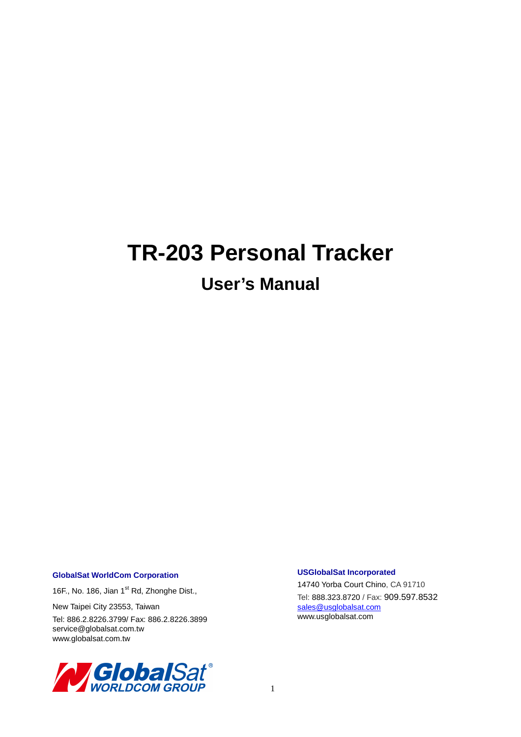# **TR-203 Personal Tracker**

# **User's Manual**

#### **GlobalSat WorldCom Corporation**

16F., No. 186, Jian 1<sup>st</sup> Rd, Zhonghe Dist.,

New Taipei City 23553, Taiwan

Tel: 886.2.8226.3799/ Fax: 886.2.8226.3899 service@globalsat.com.tw www.globalsat.com.tw



#### **USGlobalSat Incorporated**

14740 Yorba Court Chino, CA 91710 Tel: 888.323.8720 / Fax: 909.597.8532 sales@usglobalsat.com www.usglobalsat.com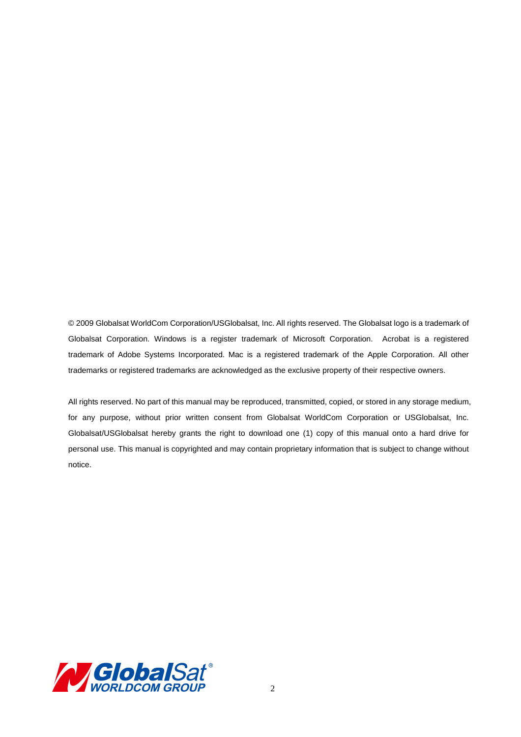© 2009 Globalsat WorldCom Corporation/USGlobalsat, Inc. All rights reserved. The Globalsat logo is a trademark of Globalsat Corporation. Windows is a register trademark of Microsoft Corporation. Acrobat is a registered trademark of Adobe Systems Incorporated. Mac is a registered trademark of the Apple Corporation. All other trademarks or registered trademarks are acknowledged as the exclusive property of their respective owners.

All rights reserved. No part of this manual may be reproduced, transmitted, copied, or stored in any storage medium, for any purpose, without prior written consent from Globalsat WorldCom Corporation or USGlobalsat, Inc. Globalsat/USGlobalsat hereby grants the right to download one (1) copy of this manual onto a hard drive for personal use. This manual is copyrighted and may contain proprietary information that is subject to change without notice.

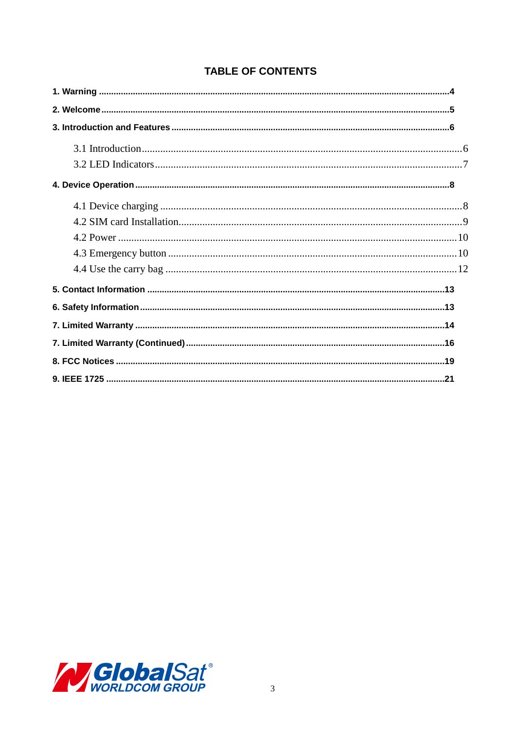|  | <b>TABLE OF CONTENTS</b> |
|--|--------------------------|
|  |                          |

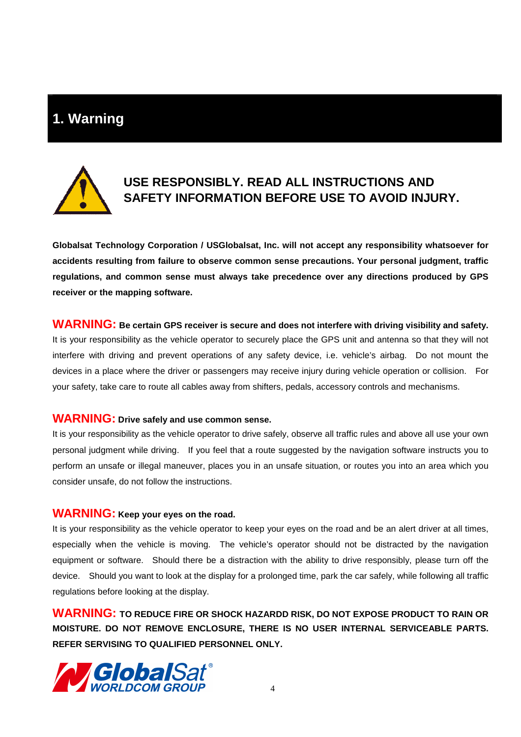## **1. Warning**



## **USE RESPONSIBLY. READ ALL INSTRUCTIONS AND SAFETY INFORMATION BEFORE USE TO AVOID INJURY.**

**Globalsat Technology Corporation / USGlobalsat, Inc. will not accept any responsibility whatsoever for accidents resulting from failure to observe common sense precautions. Your personal judgment, traffic regulations, and common sense must always take precedence over any directions produced by GPS receiver or the mapping software.** 

### **WARNING: Be certain GPS receiver is secure and does not interfere with driving visibility and safety.**  It is your responsibility as the vehicle operator to securely place the GPS unit and antenna so that they will not interfere with driving and prevent operations of any safety device, i.e. vehicle's airbag. Do not mount the devices in a place where the driver or passengers may receive injury during vehicle operation or collision. For your safety, take care to route all cables away from shifters, pedals, accessory controls and mechanisms.

#### **WARNING: Drive safely and use common sense.**

It is your responsibility as the vehicle operator to drive safely, observe all traffic rules and above all use your own personal judgment while driving. If you feel that a route suggested by the navigation software instructs you to perform an unsafe or illegal maneuver, places you in an unsafe situation, or routes you into an area which you consider unsafe, do not follow the instructions.

#### **WARNING: Keep your eyes on the road.**

It is your responsibility as the vehicle operator to keep your eyes on the road and be an alert driver at all times, especially when the vehicle is moving. The vehicle's operator should not be distracted by the navigation equipment or software. Should there be a distraction with the ability to drive responsibly, please turn off the device. Should you want to look at the display for a prolonged time, park the car safely, while following all traffic regulations before looking at the display.

**WARNING: TO REDUCE FIRE OR SHOCK HAZARDD RISK, DO NOT EXPOSE PRODUCT TO RAIN OR MOISTURE. DO NOT REMOVE ENCLOSURE, THERE IS NO USER INTERNAL SERVICEABLE PARTS. REFER SERVISING TO QUALIFIED PERSONNEL ONLY.** 

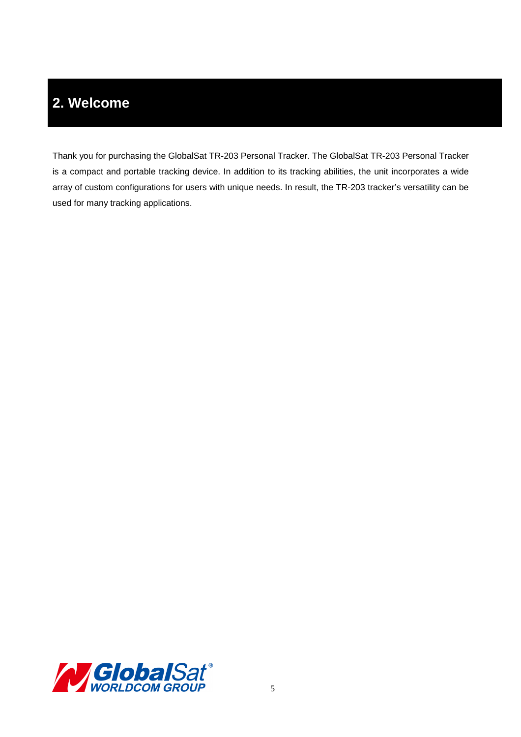# **2. Welcome**

Thank you for purchasing the GlobalSat TR-203 Personal Tracker. The GlobalSat TR-203 Personal Tracker is a compact and portable tracking device. In addition to its tracking abilities, the unit incorporates a wide array of custom configurations for users with unique needs. In result, the TR-203 tracker's versatility can be used for many tracking applications.

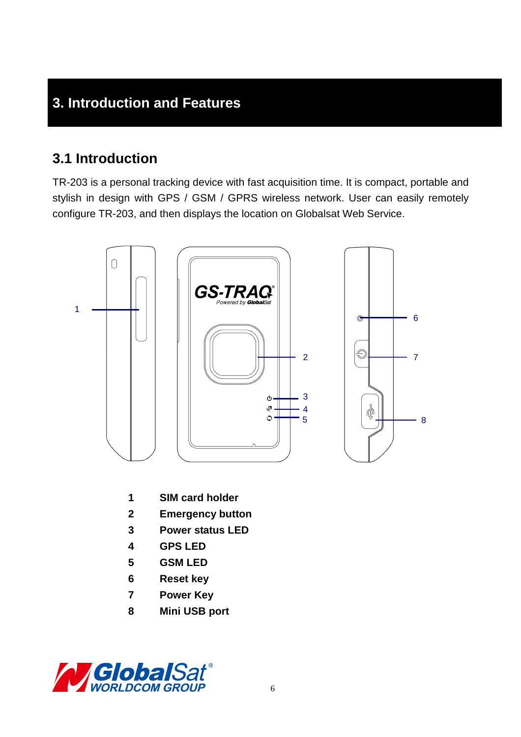## **3. Introduction and Features**

## **3.1 Introduction**

TR-203 is a personal tracking device with fast acquisition time. It is compact, portable and stylish in design with GPS / GSM / GPRS wireless network. User can easily remotely configure TR-203, and then displays the location on Globalsat Web Service.



- **1 SIM card holder**
- **2 Emergency button**
- **3 Power status LED**
- **4 GPS LED**
- **5 GSM LED**
- **6 Reset key**
- **7 Power Key**
- **8 Mini USB port**

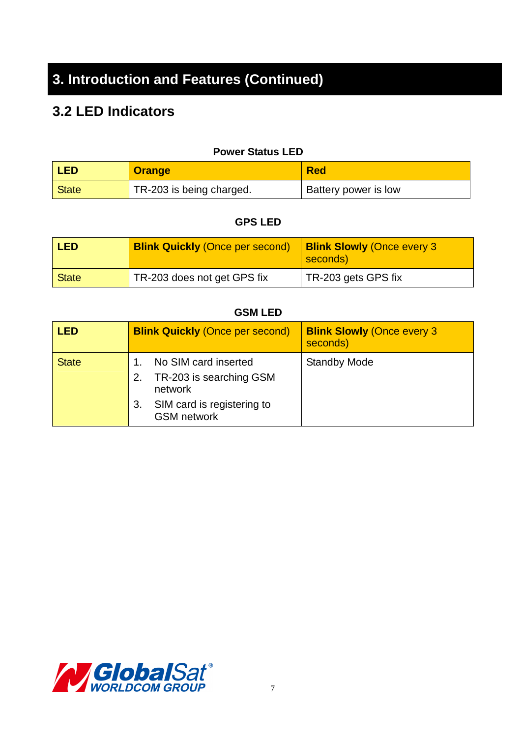# **3. Introduction and Features (Continued)**

## **3.2 LED Indicators**

|  | <b>Power Status LED</b> |  |
|--|-------------------------|--|
|--|-------------------------|--|

| <b>LED</b> | <b>Orange</b>            | <b>Red</b>                  |
|------------|--------------------------|-----------------------------|
| State      | TR-203 is being charged. | <b>Battery power is low</b> |

#### **GPS LED**

| <b>LED</b> | <b>Blink Quickly (Once per second)</b> | <b>Blink Slowly (Once every 3</b><br>seconds) |
|------------|----------------------------------------|-----------------------------------------------|
| State      | TR-203 does not get GPS fix            | TR-203 gets GPS fix                           |

### **GSM LED**

| LED          | <b>Blink Quickly (Once per second)</b>                                                                               | <b>Blink Slowly (Once every 3)</b><br>seconds) |
|--------------|----------------------------------------------------------------------------------------------------------------------|------------------------------------------------|
| <b>State</b> | No SIM card inserted<br>TR-203 is searching GSM<br>network<br>SIM card is registering to<br>3.<br><b>GSM</b> network | <b>Standby Mode</b>                            |

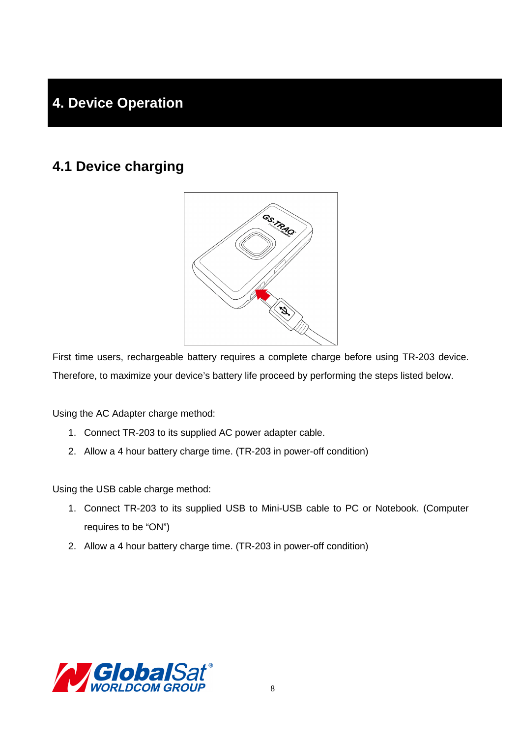# **4. Device Operation**

## **4.1 Device charging**



First time users, rechargeable battery requires a complete charge before using TR-203 device. Therefore, to maximize your device's battery life proceed by performing the steps listed below.

Using the AC Adapter charge method:

- 1. Connect TR-203 to its supplied AC power adapter cable.
- 2. Allow a 4 hour battery charge time. (TR-203 in power-off condition)

Using the USB cable charge method:

- 1. Connect TR-203 to its supplied USB to Mini-USB cable to PC or Notebook. (Computer requires to be "ON")
- 2. Allow a 4 hour battery charge time. (TR-203 in power-off condition)

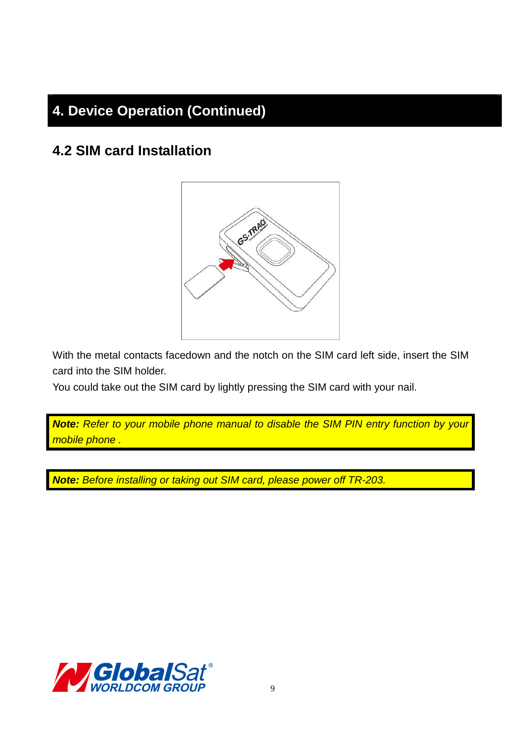# **4. Device Operation (Continued)**

## **4.2 SIM card Installation**



With the metal contacts facedown and the notch on the SIM card left side, insert the SIM card into the SIM holder.

You could take out the SIM card by lightly pressing the SIM card with your nail.

**Note:** Refer to your mobile phone manual to disable the SIM PIN entry function by your mobile phone .

**Note:** Before installing or taking out SIM card, please power off TR-203.

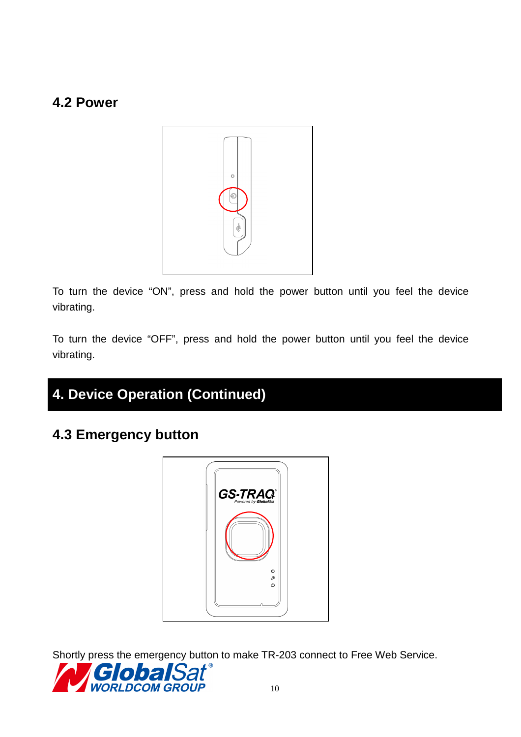## **4.2 Power**



To turn the device "ON", press and hold the power button until you feel the device vibrating.

To turn the device "OFF", press and hold the power button until you feel the device vibrating.

# **4. Device Operation (Continued)**

## **4.3 Emergency button**



Shortly press the emergency button to make TR-203 connect to Free Web Service.

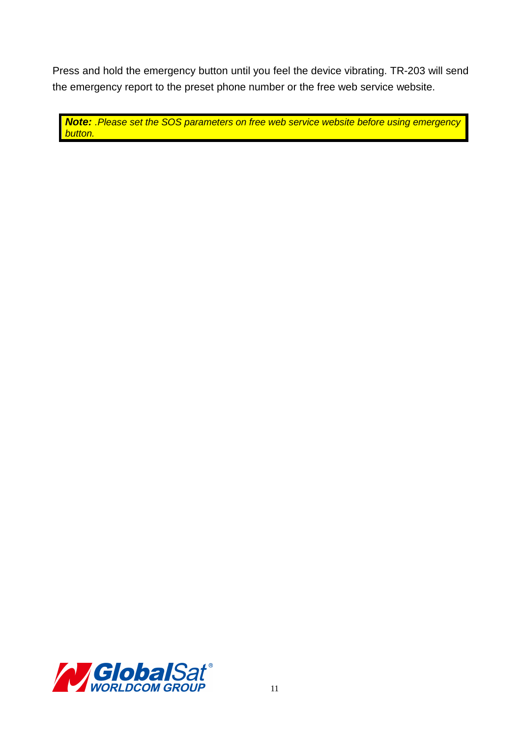Press and hold the emergency button until you feel the device vibrating. TR-203 will send the emergency report to the preset phone number or the free web service website.

**Note:** .Please set the SOS parameters on free web service website before using emergency button.

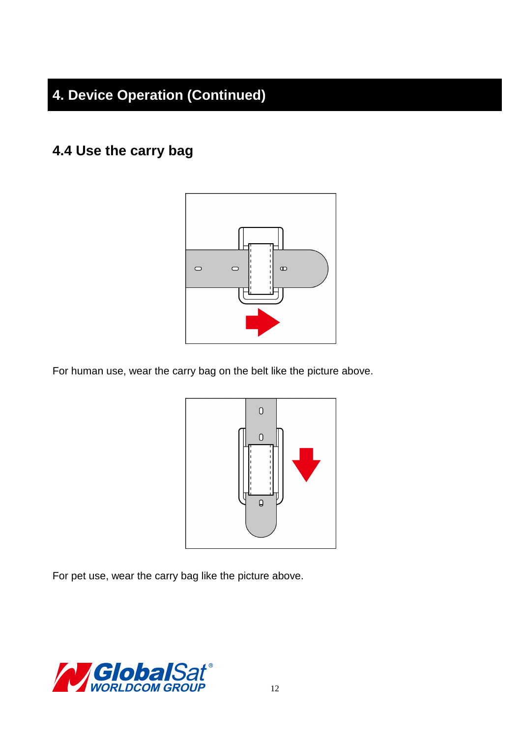# **4. Device Operation (Continued)**

## **4.4 Use the carry bag**



For human use, wear the carry bag on the belt like the picture above.



For pet use, wear the carry bag like the picture above.

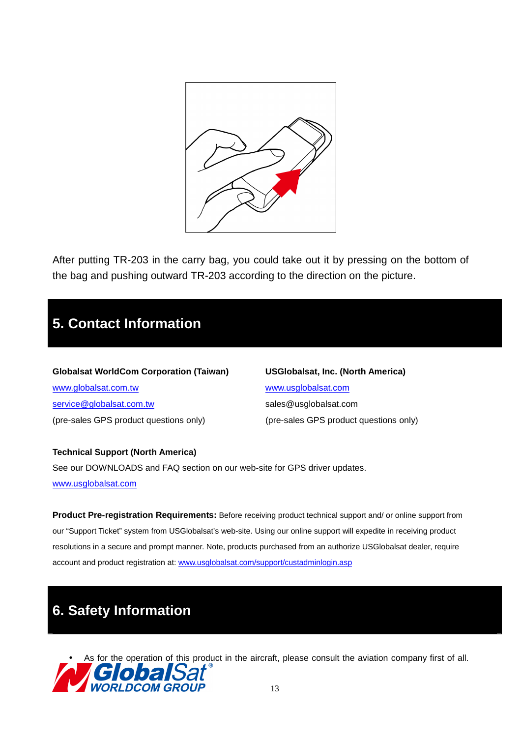

After putting TR-203 in the carry bag, you could take out it by pressing on the bottom of the bag and pushing outward TR-203 according to the direction on the picture.

## **5. Contact Information**

**Globalsat WorldCom Corporation (Taiwan) USGlobalsat, Inc. (North America)** www.globalsat.com.tw www.usglobalsat.com service@globalsat.com.tw sales@usglobalsat.com (pre-sales GPS product questions only) (pre-sales GPS product questions only)

**Technical Support (North America)**  See our DOWNLOADS and FAQ section on our web-site for GPS driver updates. www.usglobalsat.com

**Product Pre-registration Requirements:** Before receiving product technical support and/ or online support from our "Support Ticket" system from USGlobalsat's web-site. Using our online support will expedite in receiving product resolutions in a secure and prompt manner. Note, products purchased from an authorize USGlobalsat dealer, require account and product registration at: www.usglobalsat.com/support/custadminlogin.asp

## **6. Safety Information**

As for the operation of this product in the aircraft, please consult the aviation company first of all. <sup>13</sup> **WORLDCOM GROUP**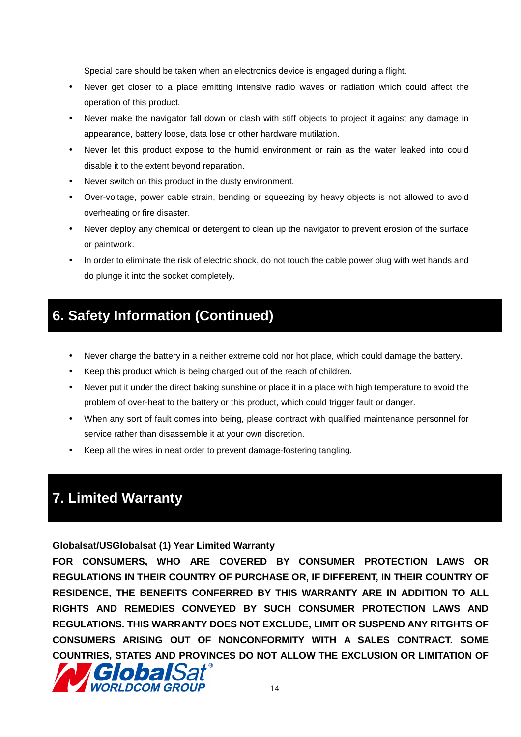Special care should be taken when an electronics device is engaged during a flight.

- Never get closer to a place emitting intensive radio waves or radiation which could affect the operation of this product.
- Never make the navigator fall down or clash with stiff objects to project it against any damage in appearance, battery loose, data lose or other hardware mutilation.
- Never let this product expose to the humid environment or rain as the water leaked into could disable it to the extent beyond reparation.
- Never switch on this product in the dusty environment.
- Over-voltage, power cable strain, bending or squeezing by heavy objects is not allowed to avoid overheating or fire disaster.
- Never deploy any chemical or detergent to clean up the navigator to prevent erosion of the surface or paintwork.
- In order to eliminate the risk of electric shock, do not touch the cable power plug with wet hands and do plunge it into the socket completely.

## **6. Safety Information (Continued)**

- Never charge the battery in a neither extreme cold nor hot place, which could damage the battery.
- Keep this product which is being charged out of the reach of children.
- Never put it under the direct baking sunshine or place it in a place with high temperature to avoid the problem of over-heat to the battery or this product, which could trigger fault or danger.
- When any sort of fault comes into being, please contract with qualified maintenance personnel for service rather than disassemble it at your own discretion.
- Keep all the wires in neat order to prevent damage-fostering tangling.

## **7. Limited Warranty**

**Globalsat/USGlobalsat (1) Year Limited Warranty** 

**FOR CONSUMERS, WHO ARE COVERED BY CONSUMER PROTECTION LAWS OR REGULATIONS IN THEIR COUNTRY OF PURCHASE OR, IF DIFFERENT, IN THEIR COUNTRY OF RESIDENCE, THE BENEFITS CONFERRED BY THIS WARRANTY ARE IN ADDITION TO ALL RIGHTS AND REMEDIES CONVEYED BY SUCH CONSUMER PROTECTION LAWS AND REGULATIONS. THIS WARRANTY DOES NOT EXCLUDE, LIMIT OR SUSPEND ANY RITGHTS OF CONSUMERS ARISING OUT OF NONCONFORMITY WITH A SALES CONTRACT. SOME COUNTRIES, STATES AND PROVINCES DO NOT ALLOW THE EXCLUSION OR LIMITATION OF** 

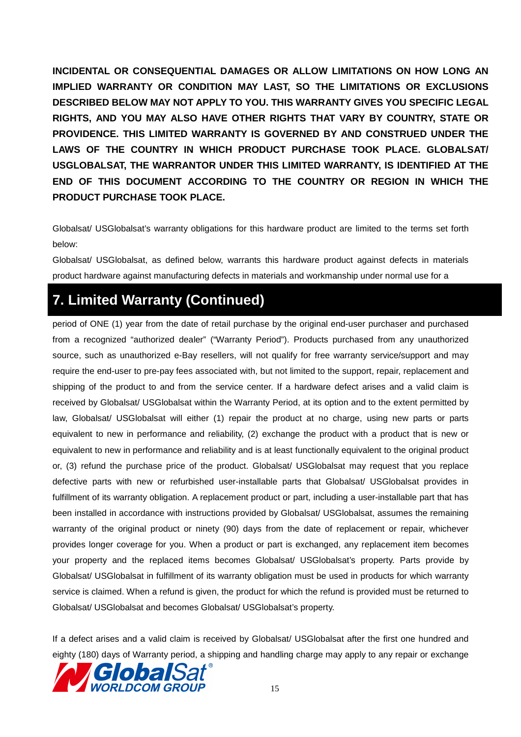**INCIDENTAL OR CONSEQUENTIAL DAMAGES OR ALLOW LIMITATIONS ON HOW LONG AN IMPLIED WARRANTY OR CONDITION MAY LAST, SO THE LIMITATIONS OR EXCLUSIONS DESCRIBED BELOW MAY NOT APPLY TO YOU. THIS WARRANTY GIVES YOU SPECIFIC LEGAL RIGHTS, AND YOU MAY ALSO HAVE OTHER RIGHTS THAT VARY BY COUNTRY, STATE OR PROVIDENCE. THIS LIMITED WARRANTY IS GOVERNED BY AND CONSTRUED UNDER THE LAWS OF THE COUNTRY IN WHICH PRODUCT PURCHASE TOOK PLACE. GLOBALSAT/ USGLOBALSAT, THE WARRANTOR UNDER THIS LIMITED WARRANTY, IS IDENTIFIED AT THE END OF THIS DOCUMENT ACCORDING TO THE COUNTRY OR REGION IN WHICH THE PRODUCT PURCHASE TOOK PLACE.** 

Globalsat/ USGlobalsat's warranty obligations for this hardware product are limited to the terms set forth below:

Globalsat/ USGlobalsat, as defined below, warrants this hardware product against defects in materials product hardware against manufacturing defects in materials and workmanship under normal use for a

## **7. Limited Warranty (Continued)**

period of ONE (1) year from the date of retail purchase by the original end-user purchaser and purchased from a recognized "authorized dealer" ("Warranty Period"). Products purchased from any unauthorized source, such as unauthorized e-Bay resellers, will not qualify for free warranty service/support and may require the end-user to pre-pay fees associated with, but not limited to the support, repair, replacement and shipping of the product to and from the service center. If a hardware defect arises and a valid claim is received by Globalsat/ USGlobalsat within the Warranty Period, at its option and to the extent permitted by law, Globalsat/ USGlobalsat will either (1) repair the product at no charge, using new parts or parts equivalent to new in performance and reliability, (2) exchange the product with a product that is new or equivalent to new in performance and reliability and is at least functionally equivalent to the original product or, (3) refund the purchase price of the product. Globalsat/ USGlobalsat may request that you replace defective parts with new or refurbished user-installable parts that Globalsat/ USGlobalsat provides in fulfillment of its warranty obligation. A replacement product or part, including a user-installable part that has been installed in accordance with instructions provided by Globalsat/ USGlobalsat, assumes the remaining warranty of the original product or ninety (90) days from the date of replacement or repair, whichever provides longer coverage for you. When a product or part is exchanged, any replacement item becomes your property and the replaced items becomes Globalsat/ USGlobalsat's property. Parts provide by Globalsat/ USGlobalsat in fulfillment of its warranty obligation must be used in products for which warranty service is claimed. When a refund is given, the product for which the refund is provided must be returned to Globalsat/ USGlobalsat and becomes Globalsat/ USGlobalsat's property.

If a defect arises and a valid claim is received by Globalsat/ USGlobalsat after the first one hundred and eighty (180) days of Warranty period, a shipping and handling charge may apply to any repair or exchange

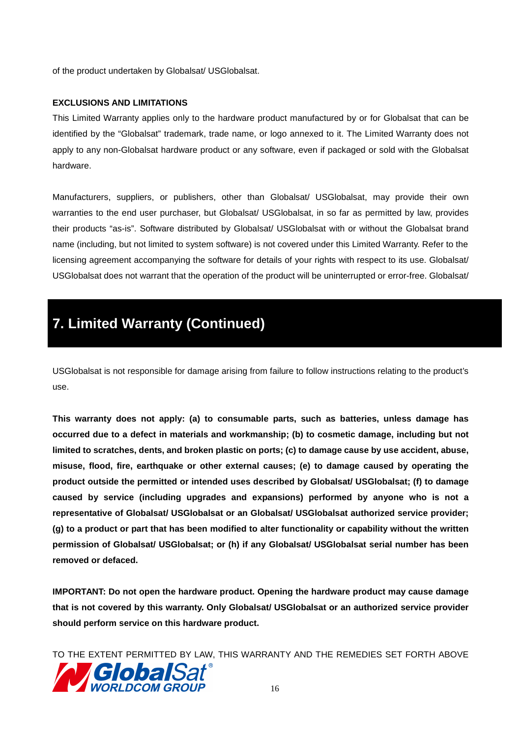of the product undertaken by Globalsat/ USGlobalsat.

#### **EXCLUSIONS AND LIMITATIONS**

This Limited Warranty applies only to the hardware product manufactured by or for Globalsat that can be identified by the "Globalsat" trademark, trade name, or logo annexed to it. The Limited Warranty does not apply to any non-Globalsat hardware product or any software, even if packaged or sold with the Globalsat hardware.

Manufacturers, suppliers, or publishers, other than Globalsat/ USGlobalsat, may provide their own warranties to the end user purchaser, but Globalsat/ USGlobalsat, in so far as permitted by law, provides their products "as-is". Software distributed by Globalsat/ USGlobalsat with or without the Globalsat brand name (including, but not limited to system software) is not covered under this Limited Warranty. Refer to the licensing agreement accompanying the software for details of your rights with respect to its use. Globalsat/ USGlobalsat does not warrant that the operation of the product will be uninterrupted or error-free. Globalsat/

## **7. Limited Warranty (Continued)**

USGlobalsat is not responsible for damage arising from failure to follow instructions relating to the product's use.

**This warranty does not apply: (a) to consumable parts, such as batteries, unless damage has occurred due to a defect in materials and workmanship; (b) to cosmetic damage, including but not limited to scratches, dents, and broken plastic on ports; (c) to damage cause by use accident, abuse, misuse, flood, fire, earthquake or other external causes; (e) to damage caused by operating the product outside the permitted or intended uses described by Globalsat/ USGlobalsat; (f) to damage caused by service (including upgrades and expansions) performed by anyone who is not a representative of Globalsat/ USGlobalsat or an Globalsat/ USGlobalsat authorized service provider; (g) to a product or part that has been modified to alter functionality or capability without the written permission of Globalsat/ USGlobalsat; or (h) if any Globalsat/ USGlobalsat serial number has been removed or defaced.** 

**IMPORTANT: Do not open the hardware product. Opening the hardware product may cause damage that is not covered by this warranty. Only Globalsat/ USGlobalsat or an authorized service provider should perform service on this hardware product.** 

TO THE EXTENT PERMITTED BY LAW, THIS WARRANTY AND THE REMEDIES SET FORTH ABOVE

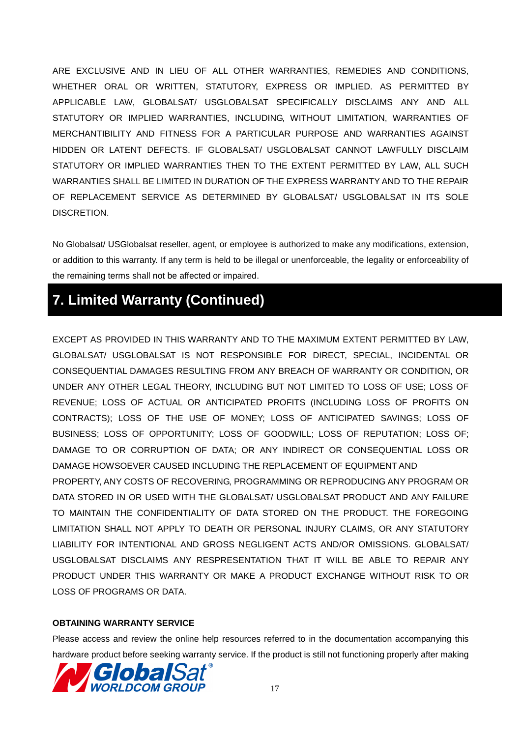ARE EXCLUSIVE AND IN LIEU OF ALL OTHER WARRANTIES, REMEDIES AND CONDITIONS, WHETHER ORAL OR WRITTEN, STATUTORY, EXPRESS OR IMPLIED. AS PERMITTED BY APPLICABLE LAW, GLOBALSAT/ USGLOBALSAT SPECIFICALLY DISCLAIMS ANY AND ALL STATUTORY OR IMPLIED WARRANTIES, INCLUDING, WITHOUT LIMITATION, WARRANTIES OF MERCHANTIBILITY AND FITNESS FOR A PARTICULAR PURPOSE AND WARRANTIES AGAINST HIDDEN OR LATENT DEFECTS. IF GLOBALSAT/ USGLOBALSAT CANNOT LAWFULLY DISCLAIM STATUTORY OR IMPLIED WARRANTIES THEN TO THE EXTENT PERMITTED BY LAW, ALL SUCH WARRANTIES SHALL BE LIMITED IN DURATION OF THE EXPRESS WARRANTY AND TO THE REPAIR OF REPLACEMENT SERVICE AS DETERMINED BY GLOBALSAT/ USGLOBALSAT IN ITS SOLE DISCRETION.

No Globalsat/ USGlobalsat reseller, agent, or employee is authorized to make any modifications, extension, or addition to this warranty. If any term is held to be illegal or unenforceable, the legality or enforceability of the remaining terms shall not be affected or impaired.

## **7. Limited Warranty (Continued)**

EXCEPT AS PROVIDED IN THIS WARRANTY AND TO THE MAXIMUM EXTENT PERMITTED BY LAW, GLOBALSAT/ USGLOBALSAT IS NOT RESPONSIBLE FOR DIRECT, SPECIAL, INCIDENTAL OR CONSEQUENTIAL DAMAGES RESULTING FROM ANY BREACH OF WARRANTY OR CONDITION, OR UNDER ANY OTHER LEGAL THEORY, INCLUDING BUT NOT LIMITED TO LOSS OF USE; LOSS OF REVENUE; LOSS OF ACTUAL OR ANTICIPATED PROFITS (INCLUDING LOSS OF PROFITS ON CONTRACTS); LOSS OF THE USE OF MONEY; LOSS OF ANTICIPATED SAVINGS; LOSS OF BUSINESS; LOSS OF OPPORTUNITY; LOSS OF GOODWILL; LOSS OF REPUTATION; LOSS OF; DAMAGE TO OR CORRUPTION OF DATA; OR ANY INDIRECT OR CONSEQUENTIAL LOSS OR DAMAGE HOWSOEVER CAUSED INCLUDING THE REPLACEMENT OF EQUIPMENT AND PROPERTY, ANY COSTS OF RECOVERING, PROGRAMMING OR REPRODUCING ANY PROGRAM OR DATA STORED IN OR USED WITH THE GLOBALSAT/ USGLOBALSAT PRODUCT AND ANY FAILURE TO MAINTAIN THE CONFIDENTIALITY OF DATA STORED ON THE PRODUCT. THE FOREGOING LIMITATION SHALL NOT APPLY TO DEATH OR PERSONAL INJURY CLAIMS, OR ANY STATUTORY LIABILITY FOR INTENTIONAL AND GROSS NEGLIGENT ACTS AND/OR OMISSIONS. GLOBALSAT/ USGLOBALSAT DISCLAIMS ANY RESPRESENTATION THAT IT WILL BE ABLE TO REPAIR ANY PRODUCT UNDER THIS WARRANTY OR MAKE A PRODUCT EXCHANGE WITHOUT RISK TO OR LOSS OF PROGRAMS OR DATA.

#### **OBTAINING WARRANTY SERVICE**

Please access and review the online help resources referred to in the documentation accompanying this hardware product before seeking warranty service. If the product is still not functioning properly after making

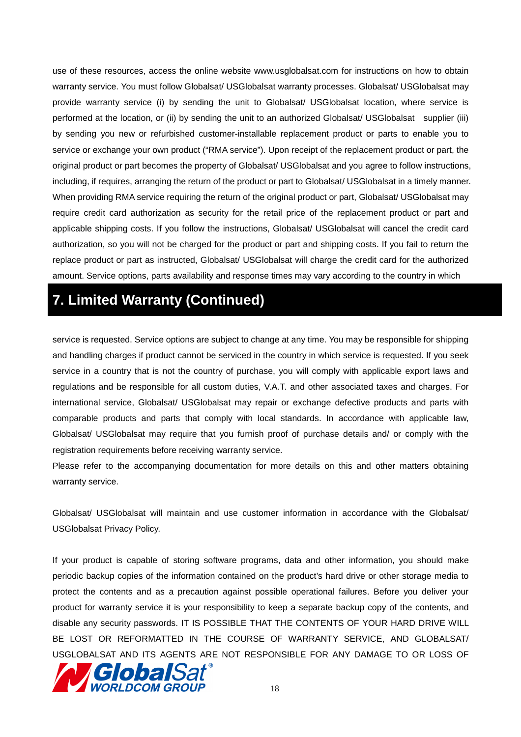use of these resources, access the online website www.usglobalsat.com for instructions on how to obtain warranty service. You must follow Globalsat/ USGlobalsat warranty processes. Globalsat/ USGlobalsat may provide warranty service (i) by sending the unit to Globalsat/ USGlobalsat location, where service is performed at the location, or (ii) by sending the unit to an authorized Globalsat/ USGlobalsat supplier (iii) by sending you new or refurbished customer-installable replacement product or parts to enable you to service or exchange your own product ("RMA service"). Upon receipt of the replacement product or part, the original product or part becomes the property of Globalsat/ USGlobalsat and you agree to follow instructions, including, if requires, arranging the return of the product or part to Globalsat/ USGlobalsat in a timely manner. When providing RMA service requiring the return of the original product or part, Globalsat/ USGlobalsat may require credit card authorization as security for the retail price of the replacement product or part and applicable shipping costs. If you follow the instructions, Globalsat/ USGlobalsat will cancel the credit card authorization, so you will not be charged for the product or part and shipping costs. If you fail to return the replace product or part as instructed, Globalsat/ USGlobalsat will charge the credit card for the authorized amount. Service options, parts availability and response times may vary according to the country in which

## **7. Limited Warranty (Continued)**

service is requested. Service options are subject to change at any time. You may be responsible for shipping and handling charges if product cannot be serviced in the country in which service is requested. If you seek service in a country that is not the country of purchase, you will comply with applicable export laws and regulations and be responsible for all custom duties, V.A.T. and other associated taxes and charges. For international service, Globalsat/ USGlobalsat may repair or exchange defective products and parts with comparable products and parts that comply with local standards. In accordance with applicable law, Globalsat/ USGlobalsat may require that you furnish proof of purchase details and/ or comply with the registration requirements before receiving warranty service.

Please refer to the accompanying documentation for more details on this and other matters obtaining warranty service.

Globalsat/ USGlobalsat will maintain and use customer information in accordance with the Globalsat/ USGlobalsat Privacy Policy.

If your product is capable of storing software programs, data and other information, you should make periodic backup copies of the information contained on the product's hard drive or other storage media to protect the contents and as a precaution against possible operational failures. Before you deliver your product for warranty service it is your responsibility to keep a separate backup copy of the contents, and disable any security passwords. IT IS POSSIBLE THAT THE CONTENTS OF YOUR HARD DRIVE WILL BE LOST OR REFORMATTED IN THE COURSE OF WARRANTY SERVICE, AND GLOBALSAT/ USGLOBALSAT AND ITS AGENTS ARE NOT RESPONSIBLE FOR ANY DAMAGE TO OR LOSS OF

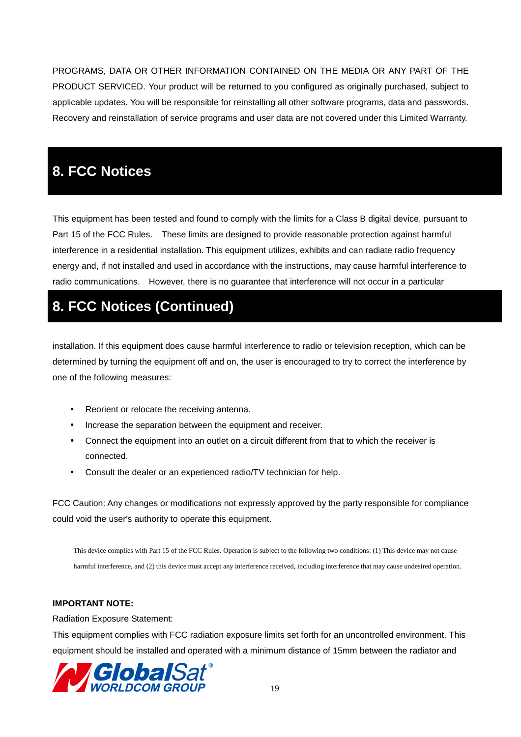PROGRAMS, DATA OR OTHER INFORMATION CONTAINED ON THE MEDIA OR ANY PART OF THE PRODUCT SERVICED. Your product will be returned to you configured as originally purchased, subject to applicable updates. You will be responsible for reinstalling all other software programs, data and passwords. Recovery and reinstallation of service programs and user data are not covered under this Limited Warranty.

## **8. FCC Notices**

This equipment has been tested and found to comply with the limits for a Class B digital device, pursuant to Part 15 of the FCC Rules. These limits are designed to provide reasonable protection against harmful interference in a residential installation. This equipment utilizes, exhibits and can radiate radio frequency energy and, if not installed and used in accordance with the instructions, may cause harmful interference to radio communications. However, there is no guarantee that interference will not occur in a particular

## **8. FCC Notices (Continued)**

installation. If this equipment does cause harmful interference to radio or television reception, which can be determined by turning the equipment off and on, the user is encouraged to try to correct the interference by one of the following measures:

- Reorient or relocate the receiving antenna.
- Increase the separation between the equipment and receiver.
- Connect the equipment into an outlet on a circuit different from that to which the receiver is connected.
- Consult the dealer or an experienced radio/TV technician for help.

FCC Caution: Any changes or modifications not expressly approved by the party responsible for compliance could void the user's authority to operate this equipment.

This device complies with Part 15 of the FCC Rules. Operation is subject to the following two conditions: (1) This device may not cause harmful interference, and (2) this device must accept any interference received, including interference that may cause undesired operation.

#### **IMPORTANT NOTE:**

Radiation Exposure Statement:

This equipment complies with FCC radiation exposure limits set forth for an uncontrolled environment. This equipment should be installed and operated with a minimum distance of 15mm between the radiator and

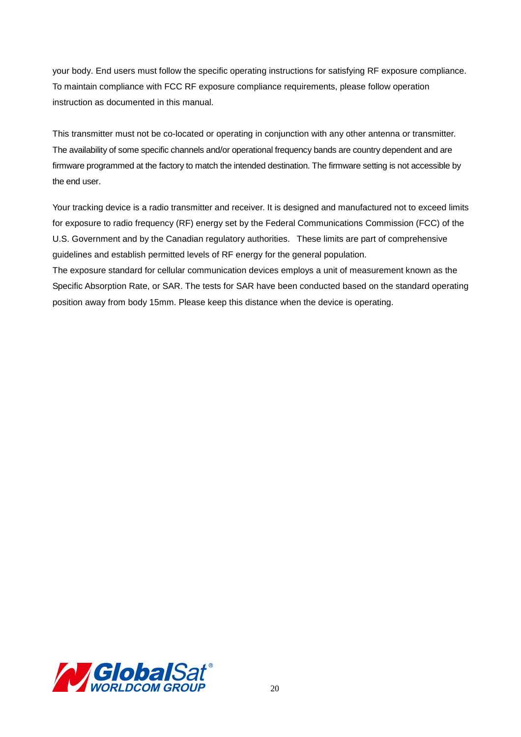your body. End users must follow the specific operating instructions for satisfying RF exposure compliance. To maintain compliance with FCC RF exposure compliance requirements, please follow operation instruction as documented in this manual.

This transmitter must not be co-located or operating in conjunction with any other antenna or transmitter. The availability of some specific channels and/or operational frequency bands are country dependent and are firmware programmed at the factory to match the intended destination. The firmware setting is not accessible by the end user.

Your tracking device is a radio transmitter and receiver. It is designed and manufactured not to exceed limits for exposure to radio frequency (RF) energy set by the Federal Communications Commission (FCC) of the U.S. Government and by the Canadian regulatory authorities. These limits are part of comprehensive guidelines and establish permitted levels of RF energy for the general population.

The exposure standard for cellular communication devices employs a unit of measurement known as the Specific Absorption Rate, or SAR. The tests for SAR have been conducted based on the standard operating position away from body 15mm. Please keep this distance when the device is operating.